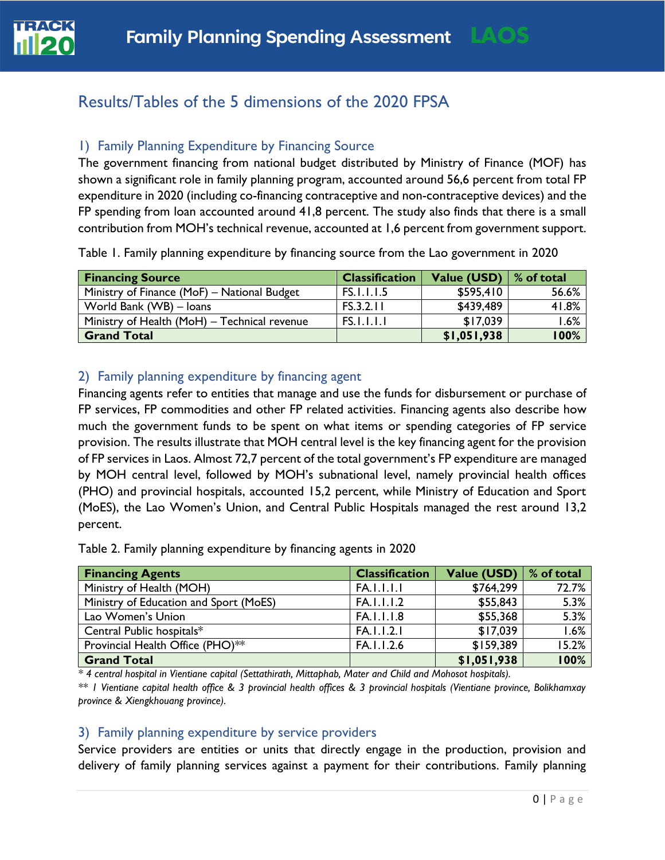

# 1) Family Planning Expenditure by Financing Source

The government financing from national budget distributed by Ministry of Finance (MOF) has shown a significant role in family planning program, accounted around 56,6 percent from total FP expenditure in 2020 (including co-financing contraceptive and non-contraceptive devices) and the FP spending from loan accounted around 41,8 percent. The study also finds that there is a small contribution from MOH's technical revenue, accounted at 1,6 percent from government support.

Table 1. Family planning expenditure by financing source from the Lao government in 2020

| <b>Financing Source</b>                      | <b>Classification</b> | Value (USD)   % of total |         |
|----------------------------------------------|-----------------------|--------------------------|---------|
| Ministry of Finance (MoF) – National Budget  | <b>FS.I.I.I.5</b>     | \$595,410                | 56.6%   |
| World Bank (WB) - Ioans                      | FS.3.2.11             | \$439,489                | 41.8%   |
| Ministry of Health (MoH) - Technical revenue | <b>FS.I.I.I.I</b>     | \$17,039                 | $1.6\%$ |
| <b>Grand Total</b>                           |                       | \$1,051,938              | 100%    |

## 2) Family planning expenditure by financing agent

Financing agents refer to entities that manage and use the funds for disbursement or purchase of FP services, FP commodities and other FP related activities. Financing agents also describe how much the government funds to be spent on what items or spending categories of FP service provision. The results illustrate that MOH central level is the key financing agent for the provision of FP services in Laos. Almost 72,7 percent of the total government's FP expenditure are managed by MOH central level, followed by MOH's subnational level, namely provincial health offices (PHO) and provincial hospitals, accounted 15,2 percent, while Ministry of Education and Sport (MoES), the Lao Women's Union, and Central Public Hospitals managed the rest around 13,2 percent.

Table 2. Family planning expenditure by financing agents in 2020

| <b>Financing Agents</b>                | <b>Classification</b> | Value (USD) | % of total |
|----------------------------------------|-----------------------|-------------|------------|
| Ministry of Health (MOH)               | <b>FA.I.I.I.I</b>     | \$764,299   | 72.7%      |
| Ministry of Education and Sport (MoES) | FA.I.I.I.2            | \$55,843    | 5.3%       |
| Lao Women's Union                      | FA.I.I.I.8            | \$55,368    | 5.3%       |
| Central Public hospitals*              | FA.1.1.2.1            | \$17,039    | 1.6%       |
| Provincial Health Office (PHO)**       | FA.1.1.2.6            | \$159,389   | 15.2%      |
| <b>Grand Total</b>                     |                       | \$1,051,938 | 100%       |

*\* 4 central hospital in Vientiane capital (Settathirath, Mittaphab, Mater and Child and Mohosot hospitals).*

*\*\* 1 Vientiane capital health office & 3 provincial health offices & 3 provincial hospitals (Vientiane province, Bolikhamxay province & Xiengkhouang province).*

#### 3) Family planning expenditure by service providers

Service providers are entities or units that directly engage in the production, provision and delivery of family planning services against a payment for their contributions. Family planning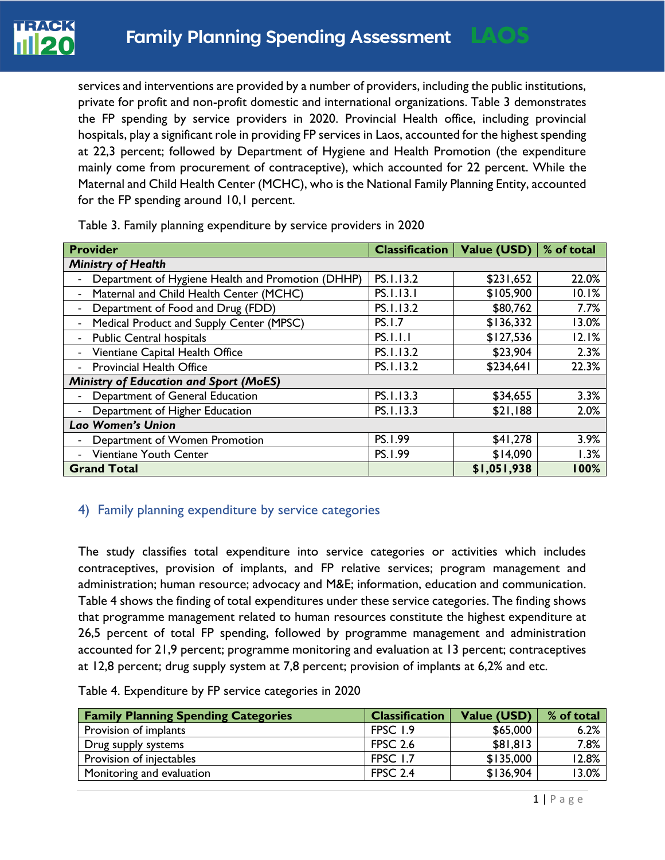

services and interventions are provided by a number of providers, including the public institutions, private for profit and non-profit domestic and international organizations. Table 3 demonstrates the FP spending by service providers in 2020. Provincial Health office, including provincial hospitals, play a significant role in providing FP services in Laos, accounted for the highest spending at 22,3 percent; followed by Department of Hygiene and Health Promotion (the expenditure mainly come from procurement of contraceptive), which accounted for 22 percent. While the Maternal and Child Health Center (MCHC), who is the National Family Planning Entity, accounted for the FP spending around 10,1 percent.

| <b>Provider</b>                                                      |                 | <b>Classification</b>   Value (USD) | % of total |
|----------------------------------------------------------------------|-----------------|-------------------------------------|------------|
| <b>Ministry of Health</b>                                            |                 |                                     |            |
| Department of Hygiene Health and Promotion (DHHP)                    | PS. I.13.2      | \$231,652                           | 22.0%      |
| Maternal and Child Health Center (MCHC)                              | PS.1.13.1       | \$105,900                           | 10.1%      |
| Department of Food and Drug (FDD)                                    | PS.1.13.2       | \$80,762                            | 7.7%       |
| Medical Product and Supply Center (MPSC)<br>$\overline{\phantom{a}}$ | <b>PS.I.7</b>   | \$136,332                           | 13.0%      |
| <b>Public Central hospitals</b>                                      | <b>PS.I.I.I</b> | \$127,536                           | 12.1%      |
| Vientiane Capital Health Office                                      | PS.1.13.2       | \$23,904                            | 2.3%       |
| <b>Provincial Health Office</b>                                      | PS.I.13.2       | \$234,641                           | 22.3%      |
| <b>Ministry of Education and Sport (MoES)</b>                        |                 |                                     |            |
| Department of General Education                                      | PS.I.13.3       | \$34,655                            | 3.3%       |
| Department of Higher Education                                       | PS.I.13.3       | \$21,188                            | 2.0%       |
| Lao Women's Union                                                    |                 |                                     |            |
| Department of Women Promotion                                        | PS.1.99         | \$41,278                            | 3.9%       |
| Vientiane Youth Center                                               | PS.1.99         | \$14,090                            | 1.3%       |
| <b>Grand Total</b>                                                   |                 | \$1,051,938                         | 100%       |

Table 3. Family planning expenditure by service providers in 2020

## 4) Family planning expenditure by service categories

The study classifies total expenditure into service categories or activities which includes contraceptives, provision of implants, and FP relative services; program management and administration; human resource; advocacy and M&E; information, education and communication. Table 4 shows the finding of total expenditures under these service categories. The finding shows that programme management related to human resources constitute the highest expenditure at 26,5 percent of total FP spending, followed by programme management and administration accounted for 21,9 percent; programme monitoring and evaluation at 13 percent; contraceptives at 12,8 percent; drug supply system at 7,8 percent; provision of implants at 6,2% and etc.

Table 4. Expenditure by FP service categories in 2020

| <b>Family Planning Spending Categories</b> | <b>Classification</b> | <b>Value (USD)</b> | % of total |
|--------------------------------------------|-----------------------|--------------------|------------|
| Provision of implants                      | FPSC 1.9              | \$65,000           | 6.2%       |
| Drug supply systems                        | <b>FPSC 2.6</b>       | \$81,813           | 7.8%       |
| Provision of injectables                   | FPSC 1.7              | \$135,000          | 12.8%      |
| Monitoring and evaluation                  | <b>FPSC 2.4</b>       | \$136,904          | 13.0%      |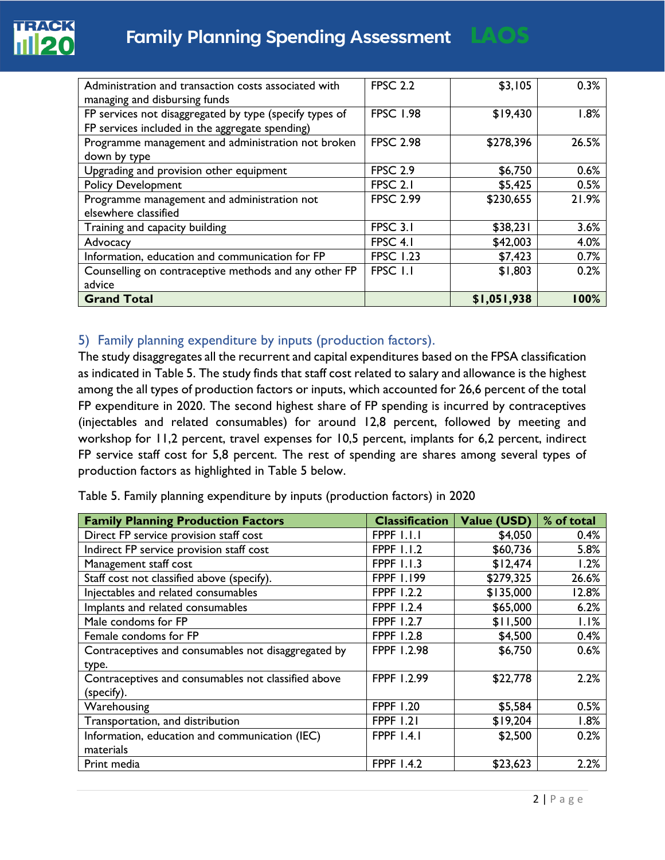

| Administration and transaction costs associated with    | <b>FPSC 2.2</b>  | \$3,105     | 0.3%  |
|---------------------------------------------------------|------------------|-------------|-------|
| managing and disbursing funds                           |                  |             |       |
| FP services not disaggregated by type (specify types of | <b>FPSC 1.98</b> | \$19,430    | 1.8%  |
| FP services included in the aggregate spending)         |                  |             |       |
| Programme management and administration not broken      | <b>FPSC 2.98</b> | \$278,396   | 26.5% |
| down by type                                            |                  |             |       |
| Upgrading and provision other equipment                 | <b>FPSC 2.9</b>  | \$6,750     | 0.6%  |
| <b>Policy Development</b>                               | FPSC 2.1         | \$5,425     | 0.5%  |
| Programme management and administration not             | <b>FPSC 2.99</b> | \$230,655   | 21.9% |
| elsewhere classified                                    |                  |             |       |
| Training and capacity building                          | FPSC 3.1         | \$38,231    | 3.6%  |
| Advocacy                                                | FPSC 4.1         | \$42,003    | 4.0%  |
| Information, education and communication for FP         | <b>FPSC 1.23</b> | \$7,423     | 0.7%  |
| Counselling on contraceptive methods and any other FP   | FPSC 1.1         | \$1,803     | 0.2%  |
| advice                                                  |                  |             |       |
| <b>Grand Total</b>                                      |                  | \$1,051,938 | 100%  |

# 5) Family planning expenditure by inputs (production factors).

The study disaggregates all the recurrent and capital expenditures based on the FPSA classification as indicated in Table 5. The study finds that staff cost related to salary and allowance is the highest among the all types of production factors or inputs, which accounted for 26,6 percent of the total FP expenditure in 2020. The second highest share of FP spending is incurred by contraceptives (injectables and related consumables) for around 12,8 percent, followed by meeting and workshop for 11,2 percent, travel expenses for 10,5 percent, implants for 6,2 percent, indirect FP service staff cost for 5,8 percent. The rest of spending are shares among several types of production factors as highlighted in Table 5 below.

| <b>Family Planning Production Factors</b>           | <b>Classification</b> | Value (USD) | % of total |
|-----------------------------------------------------|-----------------------|-------------|------------|
| Direct FP service provision staff cost              | FPPF 1.1.1            | \$4,050     | 0.4%       |
| Indirect FP service provision staff cost            | <b>FPPF 1.1.2</b>     | \$60,736    | 5.8%       |
| Management staff cost                               | <b>FPPF 1.1.3</b>     | \$12,474    | 1.2%       |
| Staff cost not classified above (specify).          | <b>FPPF 1.199</b>     | \$279,325   | 26.6%      |
| Injectables and related consumables                 | <b>FPPF 1.2.2</b>     | \$135,000   | 12.8%      |
| Implants and related consumables                    | FPPF 1.2.4            | \$65,000    | 6.2%       |
| Male condoms for FP                                 | <b>FPPF 1.2.7</b>     | \$11,500    | 1.1%       |
| Female condoms for FP                               | <b>FPPF 1.2.8</b>     | \$4,500     | 0.4%       |
| Contraceptives and consumables not disaggregated by | FPPF 1.2.98           | \$6,750     | 0.6%       |
| type.                                               |                       |             |            |
| Contraceptives and consumables not classified above | FPPF 1.2.99           | \$22,778    | 2.2%       |
| (specify).                                          |                       |             |            |
| Warehousing                                         | <b>FPPF 1.20</b>      | \$5,584     | 0.5%       |
| Transportation, and distribution                    | <b>FPPF 1.21</b>      | \$19,204    | 1.8%       |
| Information, education and communication (IEC)      | <b>FPPF 1.4.1</b>     | \$2,500     | 0.2%       |
| materials                                           |                       |             |            |
| Print media                                         | <b>FPPF 1.4.2</b>     | \$23,623    | 2.2%       |

Table 5. Family planning expenditure by inputs (production factors) in 2020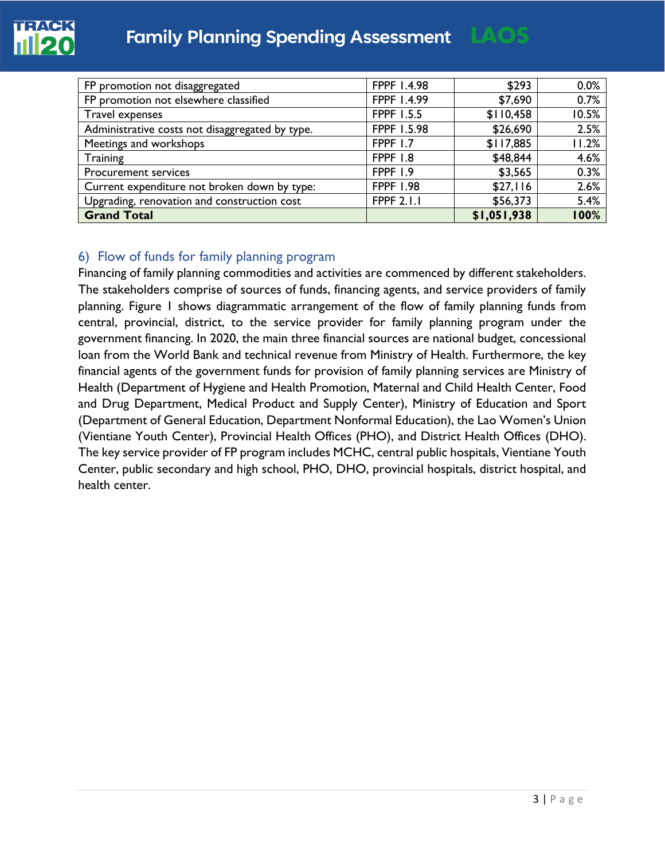

| FP promotion not disaggregated                  | FPPF 1.4.98       | \$293       | 0.0%  |
|-------------------------------------------------|-------------------|-------------|-------|
| FP promotion not elsewhere classified           | FPPF 1.4.99       | \$7,690     | 0.7%  |
| <b>Travel expenses</b>                          | <b>FPPF 1.5.5</b> | \$110,458   | 10.5% |
| Administrative costs not disaggregated by type. | FPPF 1.5.98       | \$26,690    | 2.5%  |
| Meetings and workshops                          | <b>FPPF 1.7</b>   | \$117,885   | 11.2% |
| Training                                        | FPPF 1.8          | \$48,844    | 4.6%  |
| <b>Procurement services</b>                     | FPPF 1.9          | \$3,565     | 0.3%  |
| Current expenditure not broken down by type:    | <b>FPPF 1.98</b>  | \$27,116    | 2.6%  |
| Upgrading, renovation and construction cost     | <b>FPPF 2.1.1</b> | \$56,373    | 5.4%  |
| <b>Grand Total</b>                              |                   | \$1,051,938 | 100%  |

## 6) Flow of funds for family planning program

Financing of family planning commodities and activities are commenced by different stakeholders. The stakeholders comprise of sources of funds, financing agents, and service providers of family planning. Figure 1 shows diagrammatic arrangement of the flow of family planning funds from central, provincial, district, to the service provider for family planning program under the government financing. In 2020, the main three financial sources are national budget, concessional loan from the World Bank and technical revenue from Ministry of Health. Furthermore, the key financial agents of the government funds for provision of family planning services are Ministry of Health (Department of Hygiene and Health Promotion, Maternal and Child Health Center, Food and Drug Department, Medical Product and Supply Center), Ministry of Education and Sport (Department of General Education, Department Nonformal Education), the Lao Women's Union (Vientiane Youth Center), Provincial Health Offices (PHO), and District Health Offices (DHO). The key service provider of FP program includes MCHC, central public hospitals, Vientiane Youth Center, public secondary and high school, PHO, DHO, provincial hospitals, district hospital, and health center.